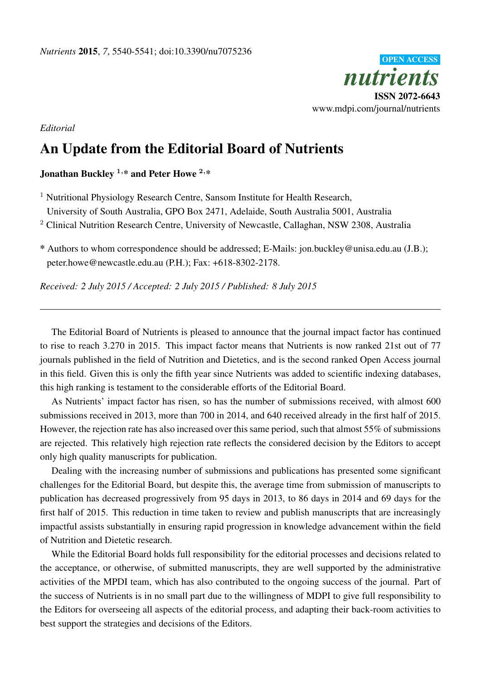

*Editorial*

## An Update from the Editorial Board of Nutrients

## Jonathan Buckley  $1, *$  and Peter Howe  $2, *$

<sup>1</sup> Nutritional Physiology Research Centre, Sansom Institute for Health Research,

University of South Australia, GPO Box 2471, Adelaide, South Australia 5001, Australia

<sup>2</sup> Clinical Nutrition Research Centre, University of Newcastle, Callaghan, NSW 2308, Australia

\* Authors to whom correspondence should be addressed; E-Mails: jon.buckley@unisa.edu.au (J.B.); peter.howe@newcastle.edu.au (P.H.); Fax: +618-8302-2178.

*Received: 2 July 2015 / Accepted: 2 July 2015 / Published: 8 July 2015*

The Editorial Board of Nutrients is pleased to announce that the journal impact factor has continued to rise to reach 3.270 in 2015. This impact factor means that Nutrients is now ranked 21st out of 77 journals published in the field of Nutrition and Dietetics, and is the second ranked Open Access journal in this field. Given this is only the fifth year since Nutrients was added to scientific indexing databases, this high ranking is testament to the considerable efforts of the Editorial Board.

As Nutrients' impact factor has risen, so has the number of submissions received, with almost 600 submissions received in 2013, more than 700 in 2014, and 640 received already in the first half of 2015. However, the rejection rate has also increased over this same period, such that almost 55% of submissions are rejected. This relatively high rejection rate reflects the considered decision by the Editors to accept only high quality manuscripts for publication.

Dealing with the increasing number of submissions and publications has presented some significant challenges for the Editorial Board, but despite this, the average time from submission of manuscripts to publication has decreased progressively from 95 days in 2013, to 86 days in 2014 and 69 days for the first half of 2015. This reduction in time taken to review and publish manuscripts that are increasingly impactful assists substantially in ensuring rapid progression in knowledge advancement within the field of Nutrition and Dietetic research.

While the Editorial Board holds full responsibility for the editorial processes and decisions related to the acceptance, or otherwise, of submitted manuscripts, they are well supported by the administrative activities of the MPDI team, which has also contributed to the ongoing success of the journal. Part of the success of Nutrients is in no small part due to the willingness of MDPI to give full responsibility to the Editors for overseeing all aspects of the editorial process, and adapting their back-room activities to best support the strategies and decisions of the Editors.